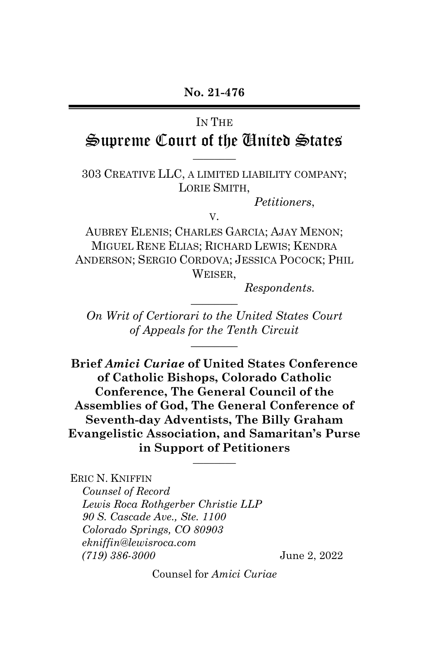# IN THE

# Supreme Court of the United States  $\overline{\phantom{a}}$   $\overline{\phantom{a}}$

#### 303 CREATIVE LLC, A LIMITED LIABILITY COMPANY; LORIE SMITH,

*Petitioners*,

V.

AUBREY ELENIS; CHARLES GARCIA; AJAY MENON; MIGUEL RENE ELIAS; RICHARD LEWIS; KENDRA ANDERSON; SERGIO CORDOVA; JESSICA POCOCK; PHIL WEISER,

*Respondents.* 

*On Writ of Certiorari to the United States Court of Appeals for the Tenth Circuit* \_\_\_\_\_\_\_\_

 $\overline{\phantom{a}}$ 

**Brief** *Amici Curiae* **of United States Conference of Catholic Bishops, Colorado Catholic Conference, The General Council of the Assemblies of God, The General Conference of Seventh-day Adventists, The Billy Graham Evangelistic Association, and Samaritan's Purse in Support of Petitioners** \_\_\_\_\_\_\_\_

ERIC N. KNIFFIN *Counsel of Record Lewis Roca Rothgerber Christie LLP 90 S. Cascade Ave., Ste. 1100 Colorado Springs, CO 80903 ekniffin@lewisroca.com (719) 386-3000* June 2, 2022

Counsel for *Amici Curiae*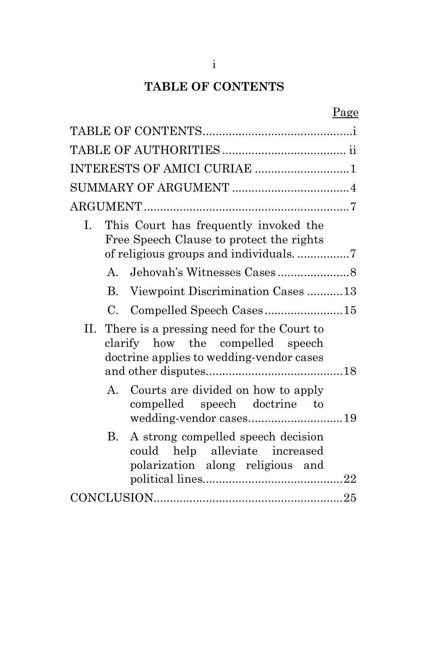# **TABLE OF CONTENTS**

|                                                                                                                               | Page |
|-------------------------------------------------------------------------------------------------------------------------------|------|
|                                                                                                                               |      |
|                                                                                                                               |      |
| INTERESTS OF AMICI CURIAE 1                                                                                                   |      |
|                                                                                                                               |      |
|                                                                                                                               |      |
| This Court has frequently invoked the<br>L.<br>Free Speech Clause to protect the rights                                       |      |
| $A_{1}$                                                                                                                       |      |
| Viewpoint Discrimination Cases 13<br>$B_{\cdot}$                                                                              |      |
| Compelled Speech Cases15<br>$C_{\cdot}$                                                                                       |      |
| II. There is a pressing need for the Court to<br>clarify how the compelled speech<br>doctrine applies to wedding-vendor cases |      |
| Courts are divided on how to apply<br>$\mathbf{A}$<br>compelled speech doctrine to<br>wedding-vendor cases19                  |      |
| A strong compelled speech decision<br>В.<br>could help alleviate increased<br>polarization along religious and                |      |
|                                                                                                                               |      |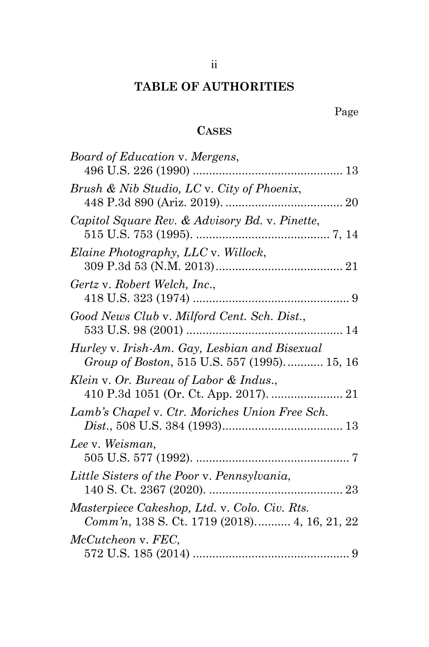# **TABLE OF AUTHORITIES**

# **CASES**

| Board of Education v. Mergens,                 |
|------------------------------------------------|
|                                                |
| Brush & Nib Studio, LC v. City of Phoenix,     |
|                                                |
| Capitol Square Rev. & Advisory Bd. v. Pinette, |
|                                                |
| Elaine Photography, LLC v. Willock,            |
|                                                |
| Gertz v. Robert Welch, Inc.,                   |
|                                                |
| Good News Club v. Milford Cent. Sch. Dist.,    |
|                                                |
| Hurley v. Irish-Am. Gay, Lesbian and Bisexual  |
| Group of Boston, 515 U.S. 557 (1995) 15, 16    |
| Klein v. Or. Bureau of Labor & Indus.,         |
|                                                |
| Lamb's Chapel v. Ctr. Moriches Union Free Sch. |
|                                                |
| Lee v. Weisman,                                |
|                                                |
| Little Sisters of the Poor v. Pennsylvania,    |
|                                                |
| Masterpiece Cakeshop, Ltd. v. Colo. Civ. Rts.  |
| Comm'n, 138 S. Ct. 1719 (2018) 4, 16, 21, 22   |
| McCutcheon v. FEC,                             |
|                                                |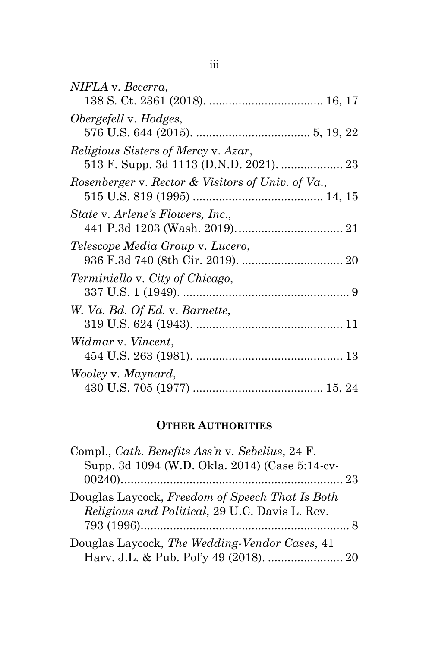| NIFLA v. Becerra,                                 |
|---------------------------------------------------|
|                                                   |
| Obergefell v. Hodges,                             |
|                                                   |
| <i>Religious Sisters of Mercy v. Azar,</i>        |
|                                                   |
| Rosenberger v. Rector & Visitors of Univ. of Va., |
|                                                   |
| State v. Arlene's Flowers, Inc.,                  |
| Telescope Media Group v. Lucero,                  |
| <i>Terminiello v. City of Chicago,</i>            |
|                                                   |
| W. Va. Bd. Of Ed. v. Barnette,                    |
|                                                   |
| Widmar v. Vincent,                                |
|                                                   |
| Wooley v. Maynard,                                |
|                                                   |
|                                                   |

# **OTHER AUTHORITIES**

| Compl., Cath. Benefits Ass'n v. Sebelius, 24 F. |  |
|-------------------------------------------------|--|
| Supp. 3d 1094 (W.D. Okla. 2014) (Case 5:14-cv-  |  |
|                                                 |  |
| Douglas Laycock, Freedom of Speech That Is Both |  |
| Religious and Political, 29 U.C. Davis L. Rev.  |  |
|                                                 |  |
| Douglas Laycock, The Wedding-Vendor Cases, 41   |  |
| Harv. J.L. & Pub. Pol'y 49 (2018).  20          |  |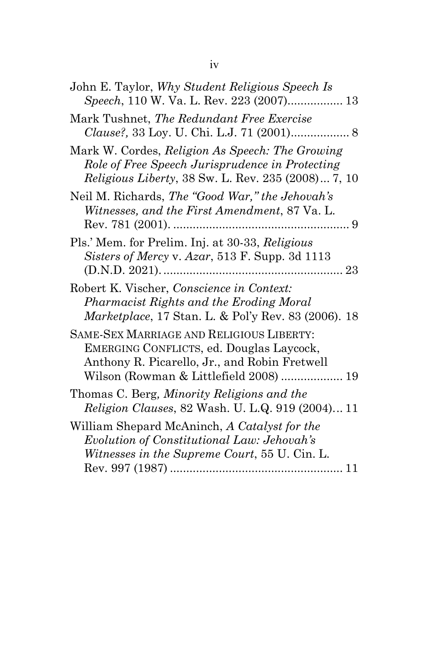| John E. Taylor, Why Student Religious Speech Is<br>Speech, 110 W. Va. L. Rev. 223 (2007) 13                                                                                     |
|---------------------------------------------------------------------------------------------------------------------------------------------------------------------------------|
| Mark Tushnet, The Redundant Free Exercise                                                                                                                                       |
| Mark W. Cordes, Religion As Speech: The Growing<br>Role of Free Speech Jurisprudence in Protecting<br><i>Religious Liberty</i> , 38 Sw. L. Rev. 235 (2008) 7, 10                |
| Neil M. Richards, The "Good War," the Jehovah's<br>Witnesses, and the First Amendment, 87 Va. L.                                                                                |
| Pls.' Mem. for Prelim. Inj. at 30-33, Religious<br>Sisters of Mercy v. Azar, 513 F. Supp. 3d 1113                                                                               |
| Robert K. Vischer, Conscience in Context:<br>Pharmacist Rights and the Eroding Moral<br>Marketplace, 17 Stan. L. & Pol'y Rev. 83 (2006). 18                                     |
| SAME-SEX MARRIAGE AND RELIGIOUS LIBERTY:<br>EMERGING CONFLICTS, ed. Douglas Laycock,<br>Anthony R. Picarello, Jr., and Robin Fretwell<br>Wilson (Rowman & Littlefield 2008)  19 |
| Thomas C. Berg, Minority Religions and the<br>Religion Clauses, 82 Wash. U. L.Q. 919 (2004) 11                                                                                  |
| William Shepard McAninch, A Catalyst for the<br>Evolution of Constitutional Law: Jehovah's<br><i>Witnesses in the Supreme Court, 55 U. Cin. L.</i>                              |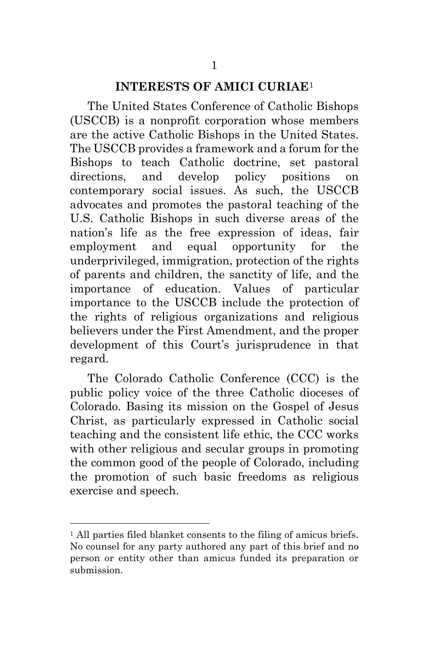#### **INTERESTS OF AMICI CURIAE**[1](#page-5-0)

The United States Conference of Catholic Bishops (USCCB) is a nonprofit corporation whose members are the active Catholic Bishops in the United States. The USCCB provides a framework and a forum for the Bishops to teach Catholic doctrine, set pastoral directions, and develop policy positions on contemporary social issues. As such, the USCCB advocates and promotes the pastoral teaching of the U.S. Catholic Bishops in such diverse areas of the nation's life as the free expression of ideas, fair employment and equal opportunity for the underprivileged, immigration, protection of the rights of parents and children, the sanctity of life, and the importance of education. Values of particular importance to the USCCB include the protection of the rights of religious organizations and religious believers under the First Amendment, and the proper development of this Court's jurisprudence in that regard.

The Colorado Catholic Conference (CCC) is the public policy voice of the three Catholic dioceses of Colorado. Basing its mission on the Gospel of Jesus Christ, as particularly expressed in Catholic social teaching and the consistent life ethic, the CCC works with other religious and secular groups in promoting the common good of the people of Colorado, including the promotion of such basic freedoms as religious exercise and speech.

<span id="page-5-0"></span> <sup>1</sup> All parties filed blanket consents to the filing of amicus briefs. No counsel for any party authored any part of this brief and no person or entity other than amicus funded its preparation or submission.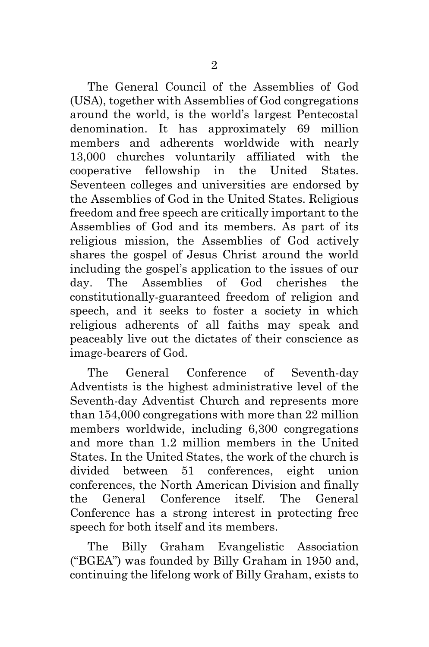The General Council of the Assemblies of God (USA), together with Assemblies of God congregations around the world, is the world's largest Pentecostal denomination. It has approximately 69 million members and adherents worldwide with nearly 13,000 churches voluntarily affiliated with the cooperative fellowship in the United States. Seventeen colleges and universities are endorsed by the Assemblies of God in the United States. Religious freedom and free speech are critically important to the Assemblies of God and its members. As part of its religious mission, the Assemblies of God actively shares the gospel of Jesus Christ around the world including the gospel's application to the issues of our day. The Assemblies of God cherishes the constitutionally-guaranteed freedom of religion and speech, and it seeks to foster a society in which religious adherents of all faiths may speak and peaceably live out the dictates of their conscience as image-bearers of God.

The General Conference of Seventh-day Adventists is the highest administrative level of the Seventh-day Adventist Church and represents more than 154,000 congregations with more than 22 million members worldwide, including 6,300 congregations and more than 1.2 million members in the United States. In the United States, the work of the church is divided between 51 conferences, eight union conferences, the North American Division and finally the General Conference itself. The General Conference has a strong interest in protecting free speech for both itself and its members.

The Billy Graham Evangelistic Association ("BGEA") was founded by Billy Graham in 1950 and, continuing the lifelong work of Billy Graham, exists to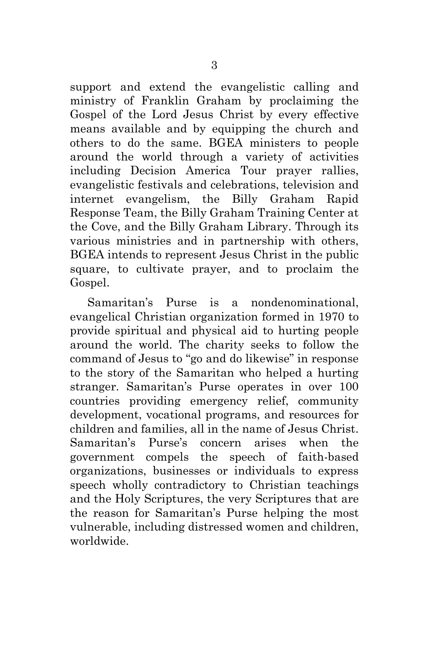support and extend the evangelistic calling and ministry of Franklin Graham by proclaiming the Gospel of the Lord Jesus Christ by every effective means available and by equipping the church and others to do the same. BGEA ministers to people around the world through a variety of activities including Decision America Tour prayer rallies, evangelistic festivals and celebrations, television and internet evangelism, the Billy Graham Rapid Response Team, the Billy Graham Training Center at the Cove, and the Billy Graham Library. Through its various ministries and in partnership with others, BGEA intends to represent Jesus Christ in the public square, to cultivate prayer, and to proclaim the Gospel.

Samaritan's Purse is a nondenominational, evangelical Christian organization formed in 1970 to provide spiritual and physical aid to hurting people around the world. The charity seeks to follow the command of Jesus to "go and do likewise" in response to the story of the Samaritan who helped a hurting stranger. Samaritan's Purse operates in over 100 countries providing emergency relief, community development, vocational programs, and resources for children and families, all in the name of Jesus Christ. Samaritan's Purse's concern arises when the government compels the speech of faith-based organizations, businesses or individuals to express speech wholly contradictory to Christian teachings and the Holy Scriptures, the very Scriptures that are the reason for Samaritan's Purse helping the most vulnerable, including distressed women and children, worldwide.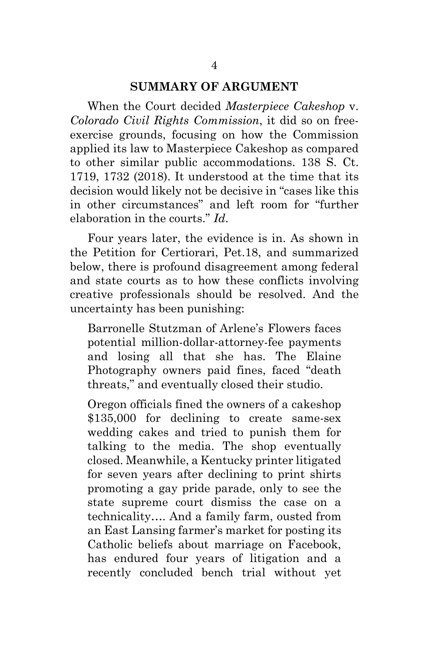#### **SUMMARY OF ARGUMENT**

When the Court decided *Masterpiece Cakeshop* v. *Colorado Civil Rights Commission*, it did so on freeexercise grounds, focusing on how the Commission applied its law to Masterpiece Cakeshop as compared to other similar public accommodations. 138 S. Ct. 1719, 1732 (2018). It understood at the time that its decision would likely not be decisive in "cases like this in other circumstances" and left room for "further elaboration in the courts." *Id*.

Four years later, the evidence is in. As shown in the Petition for Certiorari, Pet.18, and summarized below, there is profound disagreement among federal and state courts as to how these conflicts involving creative professionals should be resolved. And the uncertainty has been punishing:

Barronelle Stutzman of Arlene's Flowers faces potential million-dollar-attorney-fee payments and losing all that she has. The Elaine Photography owners paid fines, faced "death threats," and eventually closed their studio.

Oregon officials fined the owners of a cakeshop \$135,000 for declining to create same-sex wedding cakes and tried to punish them for talking to the media. The shop eventually closed. Meanwhile, a Kentucky printer litigated for seven years after declining to print shirts promoting a gay pride parade, only to see the state supreme court dismiss the case on a technicality…. And a family farm, ousted from an East Lansing farmer's market for posting its Catholic beliefs about marriage on Facebook, has endured four years of litigation and a recently concluded bench trial without yet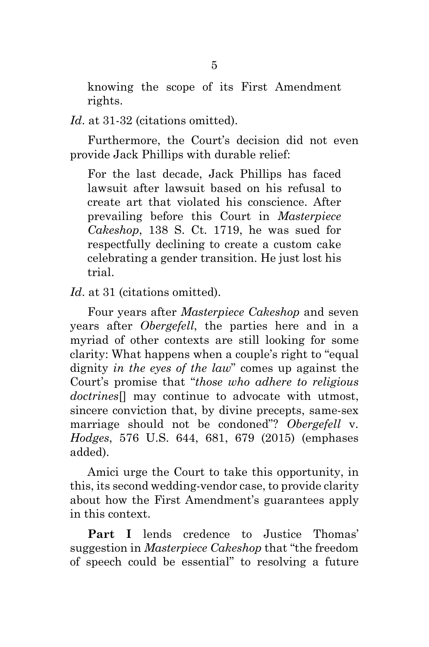knowing the scope of its First Amendment rights.

*Id*. at 31-32 (citations omitted).

Furthermore, the Court's decision did not even provide Jack Phillips with durable relief:

For the last decade, Jack Phillips has faced lawsuit after lawsuit based on his refusal to create art that violated his conscience. After prevailing before this Court in *Masterpiece Cakeshop*, 138 S. Ct. 1719, he was sued for respectfully declining to create a custom cake celebrating a gender transition. He just lost his trial.

*Id*. at 31 (citations omitted).

Four years after *Masterpiece Cakeshop* and seven years after *Obergefell*, the parties here and in a myriad of other contexts are still looking for some clarity: What happens when a couple's right to "equal dignity *in the eyes of the law*" comes up against the Court's promise that "*those who adhere to religious doctrines*[] may continue to advocate with utmost, sincere conviction that, by divine precepts, same-sex marriage should not be condoned"? *Obergefell* v. *Hodges*, 576 U.S. 644, 681, 679 (2015) (emphases added).

Amici urge the Court to take this opportunity, in this, its second wedding-vendor case, to provide clarity about how the First Amendment's guarantees apply in this context.

**Part I** lends credence to Justice Thomas' suggestion in *Masterpiece Cakeshop* that "the freedom of speech could be essential" to resolving a future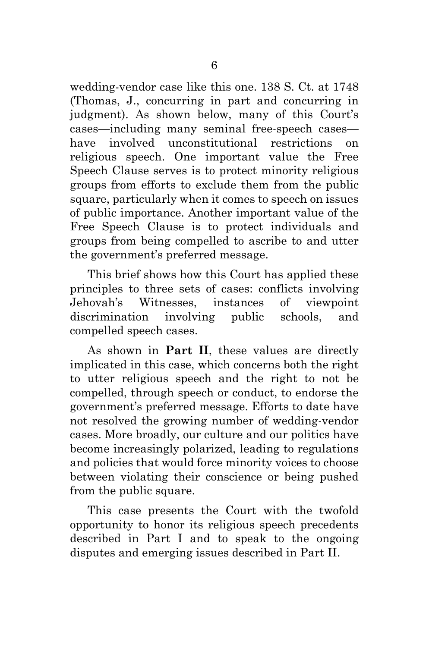wedding-vendor case like this one. 138 S. Ct. at 1748 (Thomas, J., concurring in part and concurring in judgment). As shown below, many of this Court's cases—including many seminal free-speech cases have involved unconstitutional restrictions on religious speech. One important value the Free Speech Clause serves is to protect minority religious groups from efforts to exclude them from the public square, particularly when it comes to speech on issues of public importance. Another important value of the Free Speech Clause is to protect individuals and groups from being compelled to ascribe to and utter the government's preferred message.

This brief shows how this Court has applied these principles to three sets of cases: conflicts involving Jehovah's Witnesses, instances of viewpoint discrimination involving public schools, and compelled speech cases.

As shown in **Part II**, these values are directly implicated in this case, which concerns both the right to utter religious speech and the right to not be compelled, through speech or conduct, to endorse the government's preferred message. Efforts to date have not resolved the growing number of wedding-vendor cases. More broadly, our culture and our politics have become increasingly polarized, leading to regulations and policies that would force minority voices to choose between violating their conscience or being pushed from the public square.

This case presents the Court with the twofold opportunity to honor its religious speech precedents described in Part I and to speak to the ongoing disputes and emerging issues described in Part II.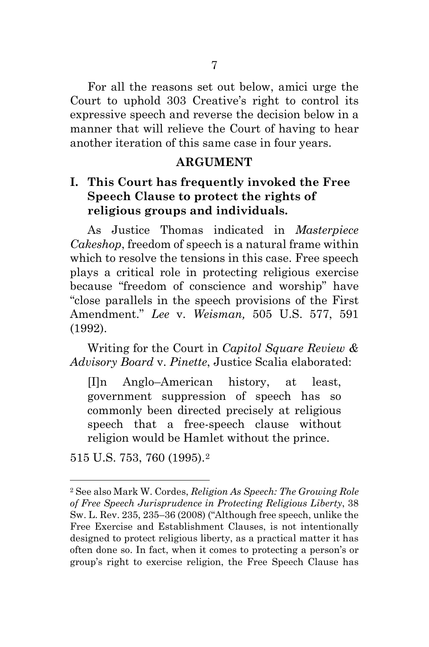For all the reasons set out below, amici urge the Court to uphold 303 Creative's right to control its expressive speech and reverse the decision below in a manner that will relieve the Court of having to hear another iteration of this same case in four years.

### **ARGUMENT**

# **I. This Court has frequently invoked the Free Speech Clause to protect the rights of religious groups and individuals.**

As Justice Thomas indicated in *Masterpiece Cakeshop*, freedom of speech is a natural frame within which to resolve the tensions in this case. Free speech plays a critical role in protecting religious exercise because "freedom of conscience and worship" have "close parallels in the speech provisions of the First Amendment." *Lee* v. *Weisman,* [505 U.S. 577, 591](https://1.next.westlaw.com/Link/Document/FullText?findType=Y&serNum=1992113978&pubNum=780&originatingDoc=I504205135ac611dbbd2dfa5ce1d08a25&refType=RP&fi=co_pp_sp_780_591&originationContext=document&transitionType=DocumentItem&ppcid=e598d4cf718a4e429b7578611607a5bd&contextData=(sc.Search)#co_pp_sp_780_591)  [\(1992\).](https://1.next.westlaw.com/Link/Document/FullText?findType=Y&serNum=1992113978&pubNum=780&originatingDoc=I504205135ac611dbbd2dfa5ce1d08a25&refType=RP&fi=co_pp_sp_780_591&originationContext=document&transitionType=DocumentItem&ppcid=e598d4cf718a4e429b7578611607a5bd&contextData=(sc.Search)#co_pp_sp_780_591)

Writing for the Court in *Capitol Square Review & Advisory Board* v. *Pinette*, Justice Scalia elaborated:

[I]n Anglo–American history, at least, government suppression of speech has so commonly been directed precisely at religious speech that a free-speech clause without religion would be Hamlet without the prince.

515 U.S. 753, 760 (1995).[2](#page-12-0)

 <sup>2</sup> See also Mark W. Cordes, *Religion As Speech: The Growing Role of Free Speech Jurisprudence in Protecting Religious Liberty*, 38 Sw. L. Rev. 235, 235–36 (2008) ("Although free speech, unlike the Free Exercise and Establishment Clauses, is not intentionally designed to protect religious liberty, as a practical matter it has often done so. In fact, when it comes to protecting a person's or group's right to exercise religion, the Free Speech Clause has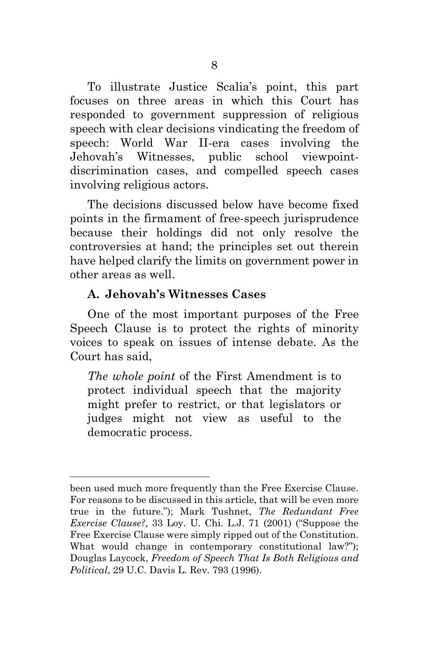To illustrate Justice Scalia's point, this part focuses on three areas in which this Court has responded to government suppression of religious speech with clear decisions vindicating the freedom of speech: World War II-era cases involving the Jehovah's Witnesses, public school viewpointdiscrimination cases, and compelled speech cases involving religious actors.

The decisions discussed below have become fixed points in the firmament of free-speech jurisprudence because their holdings did not only resolve the controversies at hand; the principles set out therein have helped clarify the limits on government power in other areas as well.

## **A. Jehovah's Witnesses Cases**

 $\overline{a}$ 

<span id="page-12-0"></span>One of the most important purposes of the Free Speech Clause is to protect the rights of minority voices to speak on issues of intense debate. As the Court has said,

*The whole point* of the First Amendment is to protect individual speech that the majority might prefer to restrict, or that legislators or judges might not view as useful to the democratic process.

been used much more frequently than the Free Exercise Clause. For reasons to be discussed in this article, that will be even more true in the future."); Mark Tushnet, *The Redundant Free Exercise Clause?,* 33 Loy. U. Chi. L.J. 71 (2001) ("Suppose the Free Exercise Clause were simply ripped out of the Constitution. What would change in contemporary constitutional law?"); Douglas Laycock, *Freedom of Speech That Is Both Religious and Political*, 29 U.C. Davis L. Rev. 793 (1996).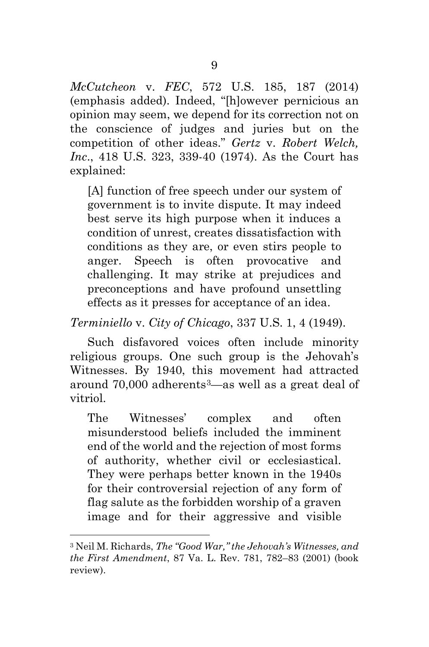*McCutcheon* v. *FEC*, 572 U.S. 185, 187 (2014) (emphasis added). Indeed, "[h]owever pernicious an opinion may seem, we depend for its correction not on the conscience of judges and juries but on the competition of other ideas." *Gertz* v. *Robert Welch, Inc*., 418 U.S. 323, 339-40 (1974). As the Court has explained:

[A] function of free speech under our system of government is to invite dispute. It may indeed best serve its high purpose when it induces a condition of unrest, creates dissatisfaction with conditions as they are, or even stirs people to anger. Speech is often provocative and challenging. It may strike at prejudices and preconceptions and have profound unsettling effects as it presses for acceptance of an idea.

*Terminiello* v. *City of Chicago*, 337 U.S. 1, 4 (1949).

Such disfavored voices often include minority religious groups. One such group is the Jehovah's Witnesses. By 1940, this movement had attracted around 70,000 adherents[3—](#page-14-0)as well as a great deal of vitriol.

The Witnesses' complex and often misunderstood beliefs included the imminent end of the world and the rejection of most forms of authority, whether civil or ecclesiastical. They were perhaps better known in the 1940s for their controversial rejection of any form of flag salute as the forbidden worship of a graven image and for their aggressive and visible

 <sup>3</sup> Neil M. Richards, *The "Good War," the Jehovah's Witnesses, and the First Amendment*, 87 Va. L. Rev. 781, 782–83 (2001) (book review).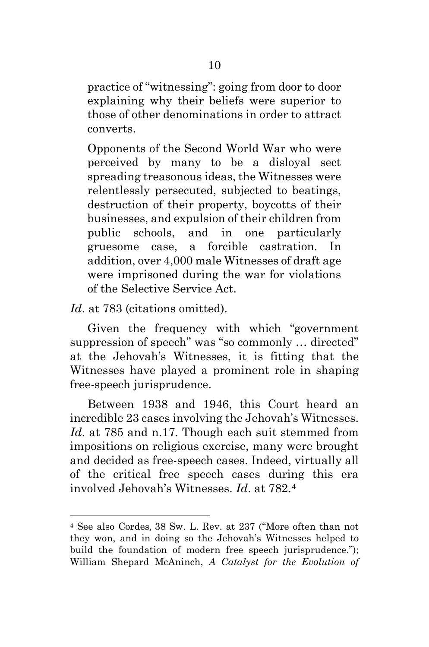practice of "witnessing": going from door to door explaining why their beliefs were superior to those of other denominations in order to attract converts.

Opponents of the Second World War who were perceived by many to be a disloyal sect spreading treasonous ideas, the Witnesses were relentlessly persecuted, subjected to beatings, destruction of their property, boycotts of their businesses, and expulsion of their children from public schools, and in one particularly gruesome case, a forcible castration. In addition, over 4,000 male Witnesses of draft age were imprisoned during the war for violations of the Selective Service Act.

*Id*. at 783 (citations omitted).

<span id="page-14-0"></span> $\overline{a}$ 

Given the frequency with which "government suppression of speech" was "so commonly … directed" at the Jehovah's Witnesses, it is fitting that the Witnesses have played a prominent role in shaping free-speech jurisprudence.

Between 1938 and 1946, this Court heard an incredible 23 cases involving the Jehovah's Witnesses. *Id*. at 785 and n.17. Though each suit stemmed from impositions on religious exercise, many were brought and decided as free-speech cases. Indeed, virtually all of the critical free speech cases during this era involved Jehovah's Witnesses. *Id*. at 782.[4](#page-15-0)

<sup>4</sup> See also Cordes*,* 38 Sw. L. Rev. at 237 ("More often than not they won, and in doing so the Jehovah's Witnesses helped to build the foundation of modern free speech jurisprudence."); William Shepard McAninch, *A Catalyst for the Evolution of*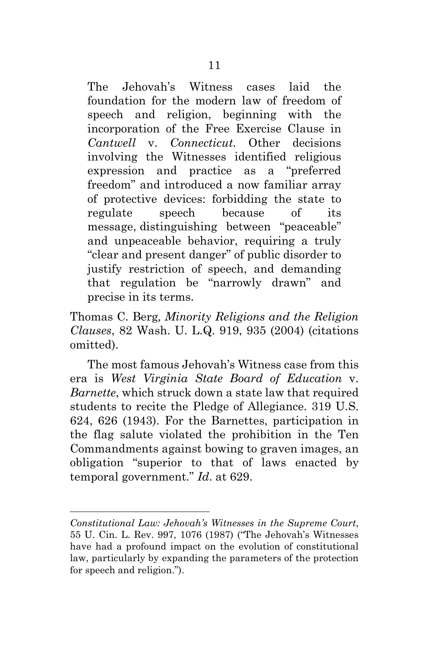The Jehovah's Witness cases laid the foundation for the modern law of freedom of speech and religion, beginning with the incorporation of the Free Exercise Clause in *Cantwell* v. *Connecticut*. Other decisions involving the Witnesses identified religious expression and practice as a "preferred freedom" and introduced a now familiar array of protective devices: forbidding the state to regulate speech because of its message, distinguishing between "peaceable" and unpeaceable behavior, requiring a truly "clear and present danger" of public disorder to justify restriction of speech, and demanding that regulation be "narrowly drawn" and precise in its terms.

Thomas C. Berg*, Minority Religions and the Religion Clauses*, 82 Wash. U. L.Q. 919, 935 (2004) (citations omitted).

<span id="page-15-0"></span>The most famous Jehovah's Witness case from this era is *West Virginia State Board of Education* v. *Barnette*, which struck down a state law that required students to recite the Pledge of Allegiance. 319 U.S. 624, 626 (1943). For the Barnettes, participation in the flag salute violated the prohibition in the Ten Commandments against bowing to graven images, an obligation "superior to that of laws enacted by temporal government." *Id*. at 629.

*Constitutional Law: Jehovah's Witnesses in the Supreme Court*, 55 U. Cin. L. Rev. 997, 1076 (1987) ("The Jehovah's Witnesses have had a profound impact on the evolution of constitutional law, particularly by expanding the parameters of the protection for speech and religion.").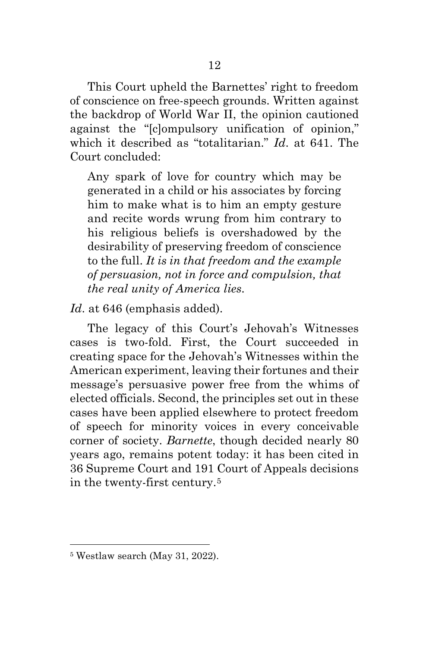This Court upheld the Barnettes' right to freedom of conscience on free-speech grounds. Written against the backdrop of World War II, the opinion cautioned against the "[c]ompulsory unification of opinion," which it described as "totalitarian." *Id*. at 641. The Court concluded:

Any spark of love for country which may be generated in a child or his associates by forcing him to make what is to him an empty gesture and recite words wrung from him contrary to his religious beliefs is overshadowed by the desirability of preserving freedom of conscience to the full. *It is in that freedom and the example of persuasion, not in force and compulsion, that the real unity of America lies*.

*Id*. at 646 (emphasis added).

The legacy of this Court's Jehovah's Witnesses cases is two-fold. First, the Court succeeded in creating space for the Jehovah's Witnesses within the American experiment, leaving their fortunes and their message's persuasive power free from the whims of elected officials. Second, the principles set out in these cases have been applied elsewhere to protect freedom of speech for minority voices in every conceivable corner of society. *Barnette*, though decided nearly 80 years ago, remains potent today: it has been cited in 36 Supreme Court and 191 Court of Appeals decisions in the twenty-first century.[5](#page-17-0) 

<sup>5</sup> Westlaw search (May 31, 2022).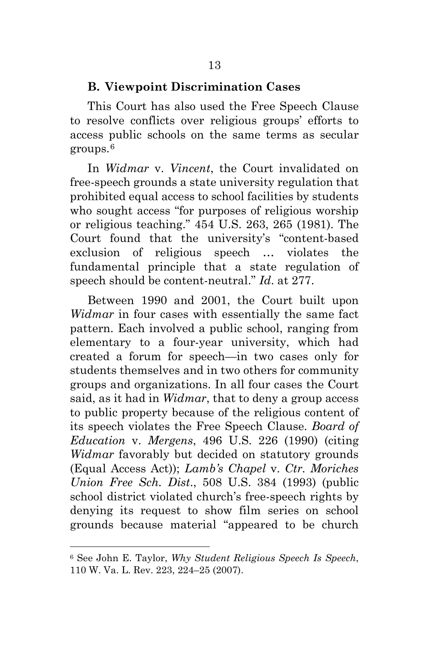#### **B. Viewpoint Discrimination Cases**

This Court has also used the Free Speech Clause to resolve conflicts over religious groups' efforts to access public schools on the same terms as secular groups.[6](#page-18-0) 

In *Widmar* v. *Vincent*, the Court invalidated on free-speech grounds a state university regulation that prohibited equal access to school facilities by students who sought access "for purposes of religious worship or religious teaching." [454 U.S. 263,](https://supreme.justia.com/cases/federal/us/454/263/case.html) 265 (1981). The Court found that the university's "content-based exclusion of religious speech … violates the fundamental principle that a state regulation of speech should be content-neutral." *Id*. at 277.

Between 1990 and 2001, the Court built upon *Widmar* in four cases with essentially the same fact pattern. Each involved a public school, ranging from elementary to a four-year university, which had created a forum for speech—in two cases only for students themselves and in two others for community groups and organizations. In all four cases the Court said, as it had in *Widmar*, that to deny a group access to public property because of the religious content of its speech violates the Free Speech Clause. *Board of Education* v. *Mergens*, 496 U.S. 226 (1990) (citing *Widmar* favorably but decided on statutory grounds (Equal Access Act)); *Lamb's Chapel* v. *Ctr. Moriches Union Free Sch. Dist*., 508 U.S. 384 (1993) (public school district violated church's free-speech rights by denying its request to show film series on school grounds because material "appeared to be church

<span id="page-17-0"></span><sup>6</sup> See John E. Taylor, *Why Student Religious Speech Is Speech*, 110 W. Va. L. Rev. 223, 224–25 (2007).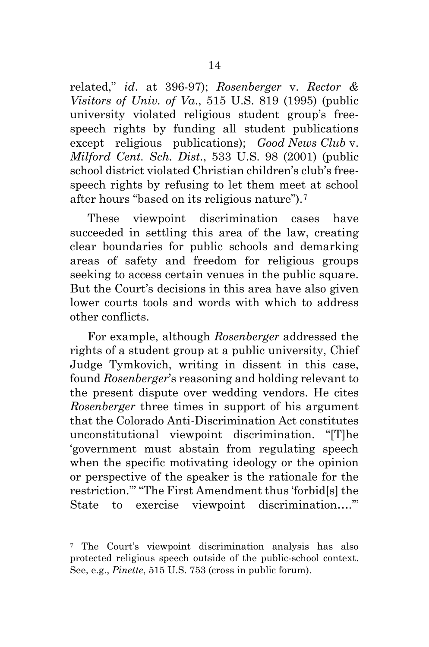related," *id*. at 396-97); *Rosenberger* v. *Rector & Visitors of Univ. of Va*., 515 U.S. 819 (1995) (public university violated religious student group's freespeech rights by funding all student publications except religious publications); *Good News Club* v. *Milford Cent. Sch. Dist*., 533 U.S. 98 (2001) (public school district violated Christian children's club's freespeech rights by refusing to let them meet at school after hours "based on its religious nature").[7](#page-19-0)

These viewpoint discrimination cases have succeeded in settling this area of the law, creating clear boundaries for public schools and demarking areas of safety and freedom for religious groups seeking to access certain venues in the public square. But the Court's decisions in this area have also given lower courts tools and words with which to address other conflicts.

For example, although *Rosenberger* addressed the rights of a student group at a public university, Chief Judge Tymkovich, writing in dissent in this case, found *Rosenberger*'s reasoning and holding relevant to the present dispute over wedding vendors. He cites *Rosenberger* three times in support of his argument that the Colorado Anti-Discrimination Act constitutes unconstitutional viewpoint discrimination. "[T]he 'government must abstain from regulating speech when the specific motivating ideology or the opinion or perspective of the speaker is the rationale for the restriction.'" "The First Amendment thus 'forbid[s] the State to exercise viewpoint discrimination….'"

<span id="page-18-0"></span><sup>7</sup> The Court's viewpoint discrimination analysis has also protected religious speech outside of the public-school context. See, e.g., *Pinette*, 515 U.S. 753 (cross in public forum).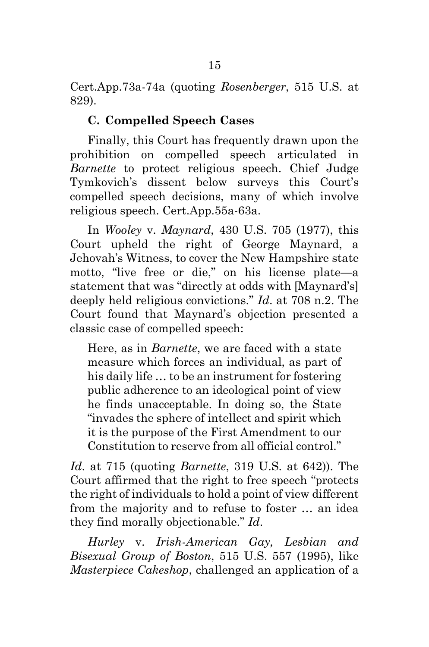Cert.App.73a-74a (quoting *Rosenberger*, 515 U.S. at 829).

### **C. Compelled Speech Cases**

Finally, this Court has frequently drawn upon the prohibition on compelled speech articulated in *Barnette* to protect religious speech. Chief Judge Tymkovich's dissent below surveys this Court's compelled speech decisions, many of which involve religious speech. Cert.App.55a-63a.

In *Wooley* v. *Maynard*, 430 U.S. 705 (1977), this Court upheld the right of George Maynard, a Jehovah's Witness, to cover the New Hampshire state motto, "live free or die," on his license plate—a statement that was "directly at odds with [Maynard's] deeply held religious convictions." *Id*. at 708 n.2. The Court found that Maynard's objection presented a classic case of compelled speech:

Here, as in *Barnette*, we are faced with a state measure which forces an individual, as part of his daily life … to be an instrument for fostering public adherence to an ideological point of view he finds unacceptable. In doing so, the State "invades the sphere of intellect and spirit which it is the purpose of the First Amendment to our Constitution to reserve from all official control."

*Id*. at 715 (quoting *Barnette*, 319 U.S. at 642)). The Court affirmed that the right to free speech "protects the right of individuals to hold a point of view different from the majority and to refuse to foster … an idea they find morally objectionable." *Id*.

<span id="page-19-0"></span>*Hurley* v. *Irish-American Gay, Lesbian and Bisexual Group of Boston*, 515 U.S. 557 (1995), like *Masterpiece Cakeshop*, challenged an application of a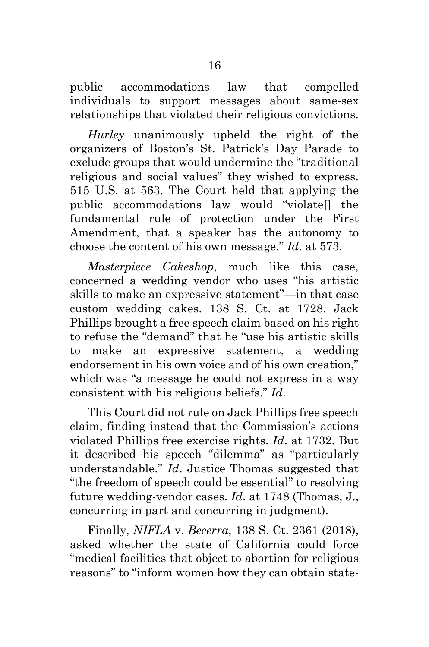public accommodations law that compelled individuals to support messages about same-sex relationships that violated their religious convictions.

*Hurley* unanimously upheld the right of the organizers of Boston's St. Patrick's Day Parade to exclude groups that would undermine the "traditional religious and social values" they wished to express. 515 U.S. at 563. The Court held that applying the public accommodations law would "violate[] the fundamental rule of protection under the First Amendment, that a speaker has the autonomy to choose the content of his own message." *Id*. at 573.

*Masterpiece Cakeshop*, much like this case, concerned a wedding vendor who uses "his artistic skills to make an expressive statement"—in that case custom wedding cakes. 138 S. Ct. at 1728. Jack Phillips brought a free speech claim based on his right to refuse the "demand" that he "use his artistic skills to make an expressive statement, a wedding endorsement in his own voice and of his own creation," which was "a message he could not express in a way consistent with his religious beliefs." *Id*.

This Court did not rule on Jack Phillips free speech claim, finding instead that the Commission's actions violated Phillips free exercise rights. *Id*. at 1732. But it described his speech "dilemma" as "particularly understandable." *Id*. Justice Thomas suggested that "the freedom of speech could be essential" to resolving future wedding-vendor cases. *Id*. at 1748 (Thomas, J., concurring in part and concurring in judgment).

Finally, *NIFLA* v. *Becerra*, 138 S. Ct. 2361 (2018), asked whether the state of California could force "medical facilities that object to abortion for religious reasons" to "inform women how they can obtain state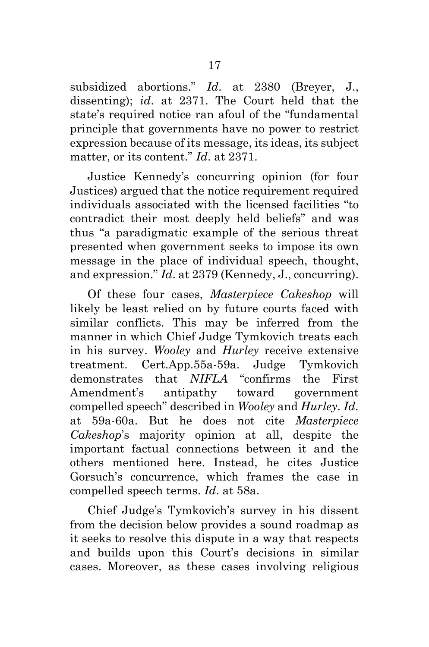subsidized abortions." *Id*. at 2380 (Breyer, J., dissenting); *id*. at 2371. The Court held that the state's required notice ran afoul of the "fundamental principle that governments have no power to restrict expression because of its message, its ideas, its subject matter, or its content." *Id*. at 2371.

Justice Kennedy's concurring opinion (for four Justices) argued that the notice requirement required individuals associated with the licensed facilities "to contradict their most deeply held beliefs" and was thus "a paradigmatic example of the serious threat presented when government seeks to impose its own message in the place of individual speech, thought, and expression." *Id*. at 2379 (Kennedy, J., concurring).

Of these four cases, *Masterpiece Cakeshop* will likely be least relied on by future courts faced with similar conflicts. This may be inferred from the manner in which Chief Judge Tymkovich treats each in his survey. *Wooley* and *Hurley* receive extensive treatment. Cert.App.55a-59a. Judge Tymkovich demonstrates that *NIFLA* "confirms the First Amendment's antipathy toward government compelled speech" described in *Wooley* and *Hurley*. *Id*. at 59a-60a. But he does not cite *Masterpiece Cakeshop*'s majority opinion at all, despite the important factual connections between it and the others mentioned here. Instead, he cites Justice Gorsuch's concurrence, which frames the case in compelled speech terms. *Id*. at 58a.

Chief Judge's Tymkovich's survey in his dissent from the decision below provides a sound roadmap as it seeks to resolve this dispute in a way that respects and builds upon this Court's decisions in similar cases. Moreover, as these cases involving religious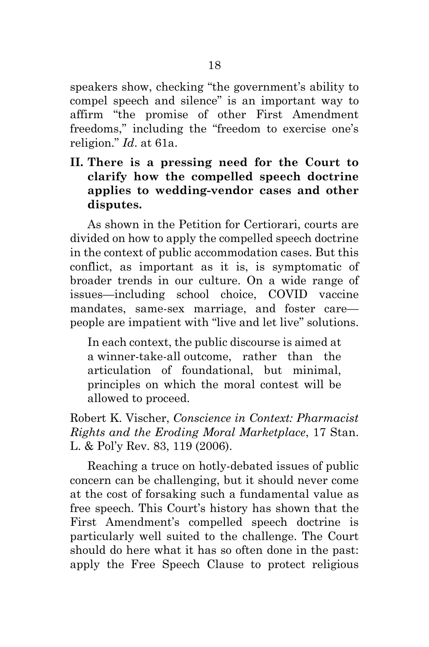speakers show, checking "the government's ability to compel speech and silence" is an important way to affirm "the promise of other First Amendment freedoms," including the "freedom to exercise one's religion." *Id*. at 61a.

**II. There is a pressing need for the Court to clarify how the compelled speech doctrine applies to wedding-vendor cases and other disputes.** 

As shown in the Petition for Certiorari, courts are divided on how to apply the compelled speech doctrine in the context of public accommodation cases. But this conflict, as important as it is, is symptomatic of broader trends in our culture. On a wide range of issues—including school choice, COVID vaccine mandates, same-sex marriage, and foster care people are impatient with "live and let live" solutions.

In each context, the public discourse is aimed at a winner-take-all outcome, rather than the articulation of foundational, but minimal, principles on which the moral contest will be allowed to proceed.

Robert K. Vischer, *Conscience in Context: Pharmacist Rights and the Eroding Moral Marketplace*, 17 Stan. L. & Pol'y Rev. 83, 119 (2006).

Reaching a truce on hotly-debated issues of public concern can be challenging, but it should never come at the cost of forsaking such a fundamental value as free speech. This Court's history has shown that the First Amendment's compelled speech doctrine is particularly well suited to the challenge. The Court should do here what it has so often done in the past: apply the Free Speech Clause to protect religious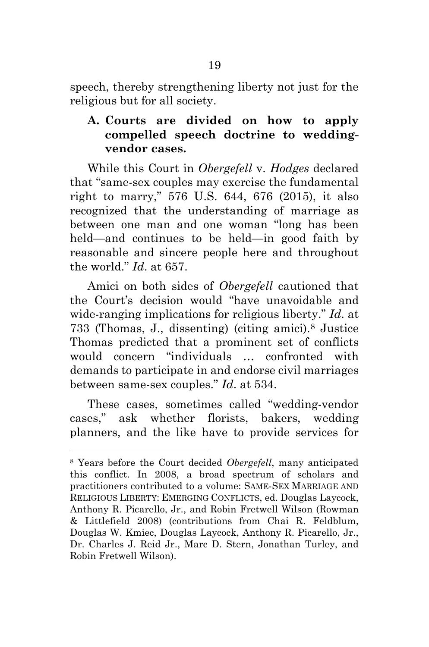speech, thereby strengthening liberty not just for the religious but for all society.

# **A. Courts are divided on how to apply compelled speech doctrine to weddingvendor cases.**

While this Court in *Obergefell* v. *Hodges* declared that "same-sex couples may exercise the fundamental right to marry," 576 U.S. 644, 676 (2015), it also recognized that the understanding of marriage as between one man and one woman "long has been held—and continues to be held—in good faith by reasonable and sincere people here and throughout the world." *Id*. at 657.

Amici on both sides of *Obergefell* cautioned that the Court's decision would "have unavoidable and wide-ranging implications for religious liberty." *Id*. at 733 (Thomas, J., dissenting) (citing amici).[8](#page-25-0) Justice Thomas predicted that a prominent set of conflicts would concern "individuals … confronted with demands to participate in and endorse civil marriages between same-sex couples." *Id*. at 534.

These cases, sometimes called "wedding-vendor cases," ask whether florists, bakers, wedding planners, and the like have to provide services for

 <sup>8</sup> Years before the Court decided *Obergefell*, many anticipated this conflict. In 2008, a broad spectrum of scholars and practitioners contributed to a volume: SAME-SEX MARRIAGE AND RELIGIOUS LIBERTY: EMERGING CONFLICTS, ed. Douglas Laycock, Anthony R. Picarello, Jr., and Robin Fretwell Wilson (Rowman & Littlefield 2008) (contributions from Chai R. Feldblum, Douglas W. Kmiec, Douglas Laycock, Anthony R. Picarello, Jr., Dr. Charles J. Reid Jr., Marc D. Stern, Jonathan Turley, and Robin Fretwell Wilson).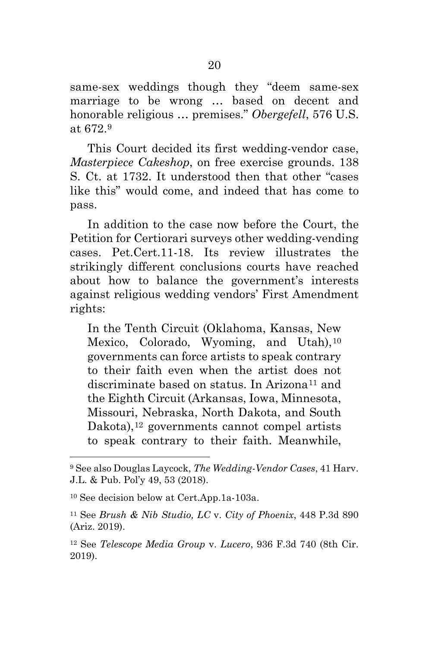same-sex weddings though they "deem same-sex marriage to be wrong … based on decent and honorable religious … premises." *Obergefell*, 576 U.S. at 672.[9](#page-26-0)

This Court decided its first wedding-vendor case, *Masterpiece Cakeshop*, on free exercise grounds. 138 S. Ct. at 1732. It understood then that other "cases like this" would come, and indeed that has come to pass.

In addition to the case now before the Court, the Petition for Certiorari surveys other wedding-vending cases. Pet.Cert.11-18. Its review illustrates the strikingly different conclusions courts have reached about how to balance the government's interests against religious wedding vendors' First Amendment rights:

In the Tenth Circuit (Oklahoma, Kansas, New Mexico, Colorado, Wyoming, and Utah),<sup>[10](#page-26-1)</sup> governments can force artists to speak contrary to their faith even when the artist does not discriminate based on status. In Arizona<sup>[11](#page-26-2)</sup> and the Eighth Circuit (Arkansas, Iowa, Minnesota, Missouri, Nebraska, North Dakota, and South Dakota),<sup>[12](#page-27-0)</sup> governments cannot compel artists to speak contrary to their faith. Meanwhile,

 <sup>9</sup> See also Douglas Laycock, *The Wedding-Vendor Cases*, 41 Harv. J.L. & Pub. Pol'y 49, 53 (2018).

<sup>10</sup> See decision below at Cert.App.1a-103a.

<sup>11</sup> See *Brush & Nib Studio, LC* v. *City of Phoenix*, 448 P.3d 890 (Ariz. 2019).

<sup>12</sup> See *Telescope Media Group* v. *Lucero*, 936 F.3d 740 (8th Cir. 2019).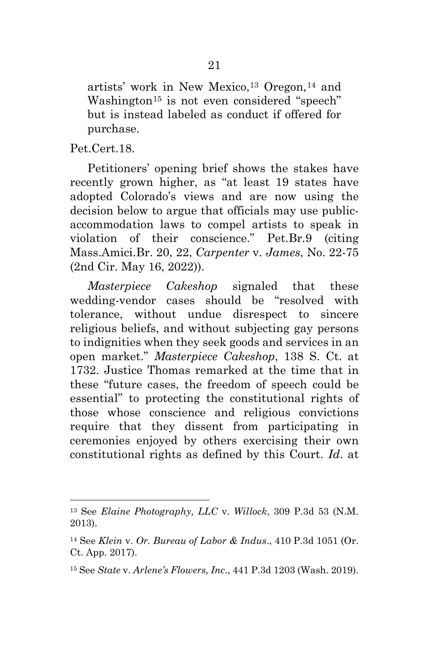artists' work in New Mexico,[13](#page-27-1) Oregon,[14](#page-27-2) and Washington<sup>[15](#page-27-3)</sup> is not even considered "speech" but is instead labeled as conduct if offered for purchase.

Pet.Cert.18.

<span id="page-25-0"></span> $\overline{a}$ 

Petitioners' opening brief shows the stakes have recently grown higher, as "at least 19 states have adopted Colorado's views and are now using the decision below to argue that officials may use publicaccommodation laws to compel artists to speak in violation of their conscience." Pet.Br.9 (citing Mass.Amici.Br. 20, 22, *Carpenter* v. *James*, No. 22-75 (2nd Cir. May 16, 2022)).

*Masterpiece Cakeshop* signaled that these wedding-vendor cases should be "resolved with tolerance, without undue disrespect to sincere religious beliefs, and without subjecting gay persons to indignities when they seek goods and services in an open market." *Masterpiece Cakeshop*, 138 S. Ct. at 1732. Justice Thomas remarked at the time that in these "future cases, the freedom of speech could be essential" to protecting the constitutional rights of those whose conscience and religious convictions require that they dissent from participating in ceremonies enjoyed by others exercising their own constitutional rights as defined by this Court. *Id*. at

<sup>13</sup> See *Elaine Photography, LLC* v. *Willock*, 309 P.3d 53 (N.M. 2013).

<sup>14</sup> See *Klein* v. *Or. Bureau of Labor & Indus*., 410 P.3d 1051 (Or. Ct. App. 2017).

<sup>15</sup> See *State* v. *Arlene's Flowers, Inc*., 441 P.3d 1203 (Wash. 2019).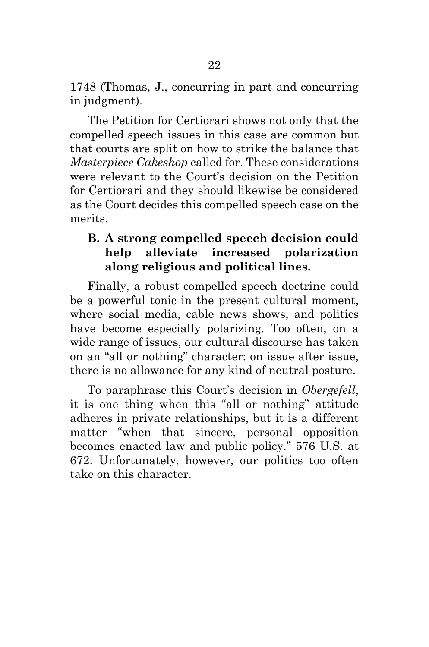1748 (Thomas, J., concurring in part and concurring in judgment).

The Petition for Certiorari shows not only that the compelled speech issues in this case are common but that courts are split on how to strike the balance that *Masterpiece Cakeshop* called for. These considerations were relevant to the Court's decision on the Petition for Certiorari and they should likewise be considered as the Court decides this compelled speech case on the merits.

# **B. A strong compelled speech decision could help alleviate increased polarization along religious and political lines.**

Finally, a robust compelled speech doctrine could be a powerful tonic in the present cultural moment, where social media, cable news shows, and politics have become especially polarizing. Too often, on a wide range of issues, our cultural discourse has taken on an "all or nothing" character: on issue after issue, there is no allowance for any kind of neutral posture.

<span id="page-26-2"></span><span id="page-26-1"></span><span id="page-26-0"></span>To paraphrase this Court's decision in *Obergefell*, it is one thing when this "all or nothing" attitude adheres in private relationships, but it is a different matter "when that sincere, personal opposition becomes enacted law and public policy." 576 U.S. at 672. Unfortunately, however, our politics too often take on this character.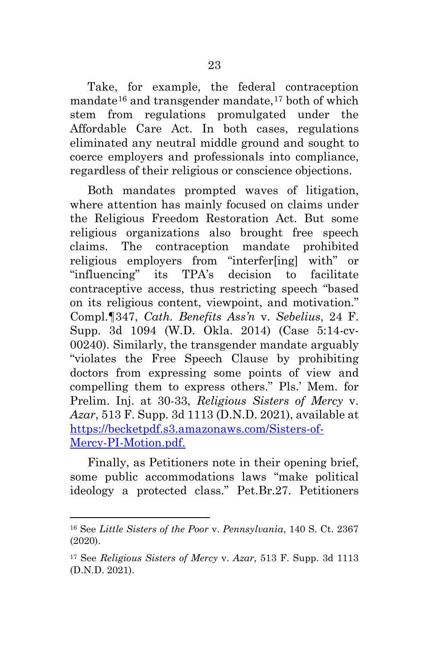Take, for example, the federal contraception mandate $16$  and transgender mandate, $17$  both of which stem from regulations promulgated under the Affordable Care Act. In both cases, regulations eliminated any neutral middle ground and sought to coerce employers and professionals into compliance, regardless of their religious or conscience objections.

Both mandates prompted waves of litigation, where attention has mainly focused on claims under the Religious Freedom Restoration Act. But some religious organizations also brought free speech claims. The contraception mandate prohibited religious employers from "interfer[ing] with" or "influencing" its TPA's decision to facilitate contraceptive access, thus restricting speech "based on its religious content, viewpoint, and motivation." Compl.¶347, *Cath. Benefits Ass'n* v. *Sebelius*, 24 F. Supp. 3d 1094 (W.D. Okla. 2014) (Case 5:14-cv-00240). Similarly, the transgender mandate arguably "violates the Free Speech Clause by prohibiting doctors from expressing some points of view and compelling them to express others." Pls.' Mem. for Prelim. Inj. at 30-33, *Religious Sisters of Mercy* v. *Azar*, 513 F. Supp. 3d 1113 (D.N.D. 2021), available at [https://becketpdf.s3.amazonaws.com/Sisters-of-](https://becketpdf.s3.amazonaws.com/Sisters-of-Mercy-PI-Motion.pdf)[Mercy-PI-Motion.pdf.](https://becketpdf.s3.amazonaws.com/Sisters-of-Mercy-PI-Motion.pdf)

<span id="page-27-2"></span><span id="page-27-1"></span><span id="page-27-0"></span>Finally, as Petitioners note in their opening brief, some public accommodations laws "make political ideology a protected class." Pet.Br.27. Petitioners

<span id="page-27-3"></span><sup>16</sup> See *Little Sisters of the Poor* v. *Pennsylvania*, 140 S. Ct. 2367 (2020).

<sup>17</sup> See *Religious Sisters of Mercy* v. *Azar*, 513 F. Supp. 3d 1113 (D.N.D. 2021).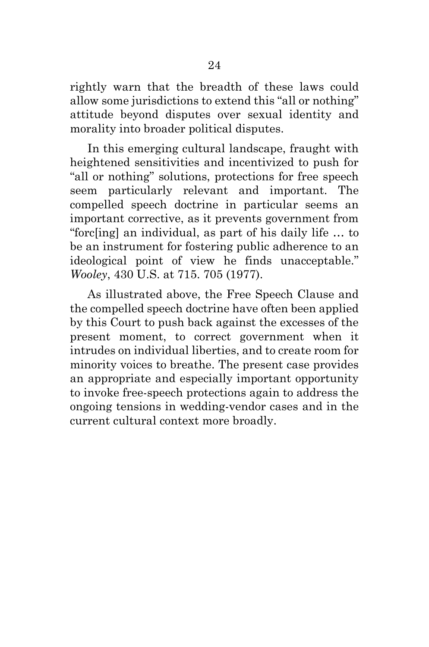rightly warn that the breadth of these laws could allow some jurisdictions to extend this "all or nothing" attitude beyond disputes over sexual identity and morality into broader political disputes.

In this emerging cultural landscape, fraught with heightened sensitivities and incentivized to push for "all or nothing" solutions, protections for free speech seem particularly relevant and important. The compelled speech doctrine in particular seems an important corrective, as it prevents government from "forc[ing] an individual, as part of his daily life … to be an instrument for fostering public adherence to an ideological point of view he finds unacceptable." *Wooley*, 430 U.S. at 715. 705 (1977).

As illustrated above, the Free Speech Clause and the compelled speech doctrine have often been applied by this Court to push back against the excesses of the present moment, to correct government when it intrudes on individual liberties, and to create room for minority voices to breathe. The present case provides an appropriate and especially important opportunity to invoke free-speech protections again to address the ongoing tensions in wedding-vendor cases and in the current cultural context more broadly.